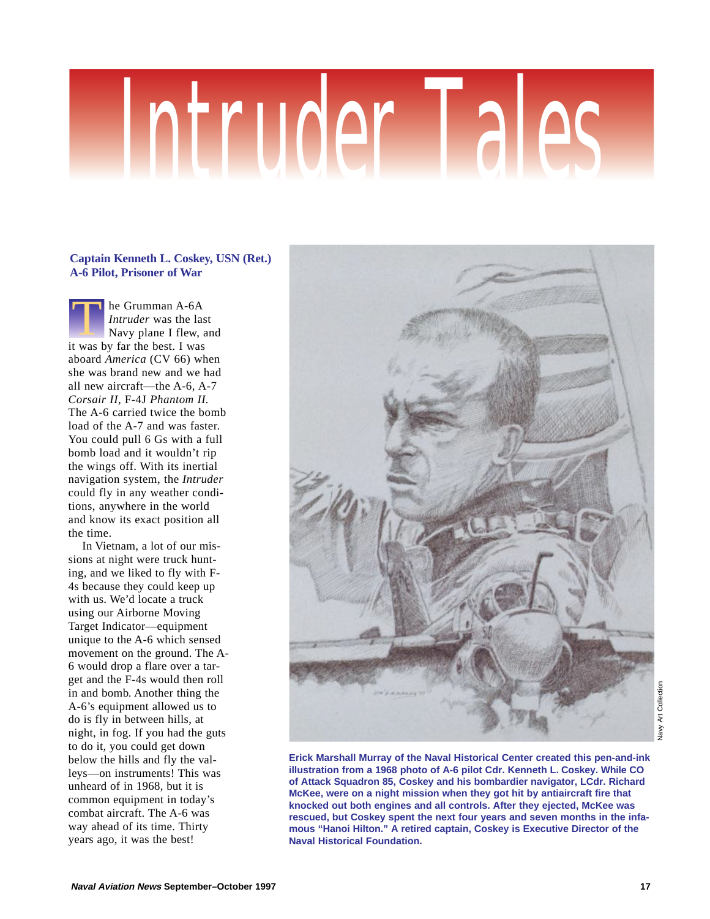# Intruder Tales

# **Captain Kenneth L. Coskey, USN (Ret.) A-6 Pilot, Prisoner of War**

he Grumman A-6A *Intruder* was the last Navy plane I flew, and **is the Grumman A-6A**<br>*Intruder* was the las<br>Navy plane I flew, at<br>it was by far the best. I was aboard *America* (CV 66) when she was brand new and we had all new aircraft—the A-6, A-7 *Corsair II,* F-4J *Phantom II.* The A-6 carried twice the bomb load of the A-7 and was faster. You could pull 6 Gs with a full bomb load and it wouldn't rip the wings off. With its inertial navigation system, the *Intruder* could fly in any weather conditions, anywhere in the world and know its exact position all the time.

In Vietnam, a lot of our missions at night were truck hunting, and we liked to fly with F-4s because they could keep up with us. We'd locate a truck using our Airborne Moving Target Indicator—equipment unique to the A-6 which sensed movement on the ground. The A-6 would drop a flare over a target and the F-4s would then roll in and bomb. Another thing the A-6's equipment allowed us to do is fly in between hills, at night, in fog. If you had the guts to do it, you could get down below the hills and fly the valleys—on instruments! This was unheard of in 1968, but it is common equipment in today's combat aircraft. The A-6 was way ahead of its time. Thirty years ago, it was the best!



**Erick Marshall Murray of the Naval Historical Center created this pen-and-ink illustration from a 1968 photo of A-6 pilot Cdr. Kenneth L. Coskey. While CO of Attack Squadron 85, Coskey and his bombardier navigator, LCdr. Richard McKee, were on a night mission when they got hit by antiaircraft fire that knocked out both engines and all controls. After they ejected, McKee was rescued, but Coskey spent the next four years and seven months in the infamous "Hanoi Hilton." A retired captain, Coskey is Executive Director of the Naval Historical Foundation.**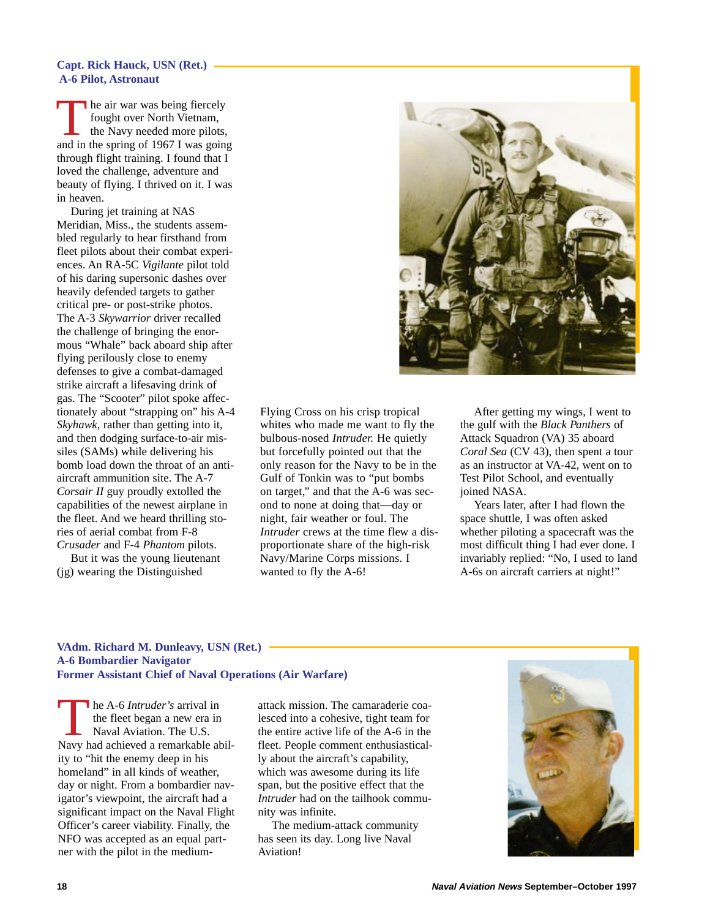### **Capt. Rick Hauck, USN (Ret.) A-6 Pilot, Astronaut**

The air war was being fiercely fought over North Vietnam, the Navy needed more pilots, and in the spring of 1967 I was going through flight training. I found that I loved the challenge, adventure and beauty of flying. I thrived on it. I was in heaven.

During jet training at NAS Meridian, Miss., the students assembled regularly to hear firsthand from fleet pilots about their combat experiences. An RA-5C *Vigilante* pilot told of his daring supersonic dashes over heavily defended targets to gather critical pre- or post-strike photos. The A-3 *Skywarrior* driver recalled the challenge of bringing the enormous "Whale" back aboard ship after flying perilously close to enemy defenses to give a combat-damaged strike aircraft a lifesaving drink of gas. The "Scooter" pilot spoke affectionately about "strapping on" his A-4 *Skyhawk,* rather than getting into it, and then dodging surface-to-air missiles (SAMs) while delivering his bomb load down the throat of an antiaircraft ammunition site. The A-7 *Corsair II* guy proudly extolled the capabilities of the newest airplane in the fleet. And we heard thrilling stories of aerial combat from F-8 *Crusader* and F-4 *Phantom* pilots.

But it was the young lieutenant (jg) wearing the Distinguished



Flying Cross on his crisp tropical whites who made me want to fly the bulbous-nosed *Intruder.* He quietly but forcefully pointed out that the only reason for the Navy to be in the Gulf of Tonkin was to "put bombs on target," and that the A-6 was second to none at doing that—day or night, fair weather or foul. The *Intruder* crews at the time flew a disproportionate share of the high-risk Navy/Marine Corps missions. I wanted to fly the A-6!

After getting my wings, I went to the gulf with the *Black Panthers* of Attack Squadron (VA) 35 aboard *Coral Sea* (CV 43), then spent a tour as an instructor at VA-42, went on to Test Pilot School, and eventually joined NASA.

Years later, after I had flown the space shuttle, I was often asked whether piloting a spacecraft was the most difficult thing I had ever done. I invariably replied: "No, I used to land A-6s on aircraft carriers at night!"

## **VAdm. Richard M. Dunleavy, USN (Ret.) A-6 Bombardier Navigator Former Assistant Chief of Naval Operations (Air Warfare)**

The A-6 *Intruder's* arrival in<br>the fleet began a new era in<br>Navy had achieved a remarkable abilthe fleet began a new era in Naval Aviation. The U.S. ity to "hit the enemy deep in his homeland" in all kinds of weather, day or night. From a bombardier navigator's viewpoint, the aircraft had a significant impact on the Naval Flight Officer's career viability. Finally, the NFO was accepted as an equal partner with the pilot in the medium-

attack mission. The camaraderie coalesced into a cohesive, tight team for the entire active life of the A-6 in the fleet. People comment enthusiastically about the aircraft's capability, which was awesome during its life span, but the positive effect that the *Intruder* had on the tailhook community was infinite.

The medium-attack community has seen its day. Long live Naval Aviation!